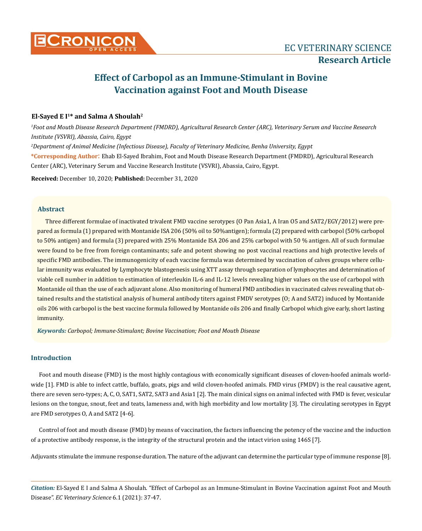# **Effect of Carbopol as an Immune-Stimulant in Bovine Vaccination against Foot and Mouth Disease**

# **El-Sayed E I1\* and Salma A Shoulah2**

*1 Foot and Mouth Disease Research Department (FMDRD), Agricultural Research Center (ARC), Veterinary Serum and Vaccine Research Institute (VSVRI), Abassia, Cairo, Egypt*

*2 Department of Animal Medicine (Infectious Disease), Faculty of Veterinary Medicine, Benha University, Egypt*

**\*Corresponding Author**: Ehab El-Sayed Ibrahim, Foot and Mouth Disease Research Department (FMDRD), Agricultural Research Center (ARC), Veterinary Serum and Vaccine Research Institute (VSVRI), Abassia, Cairo, Egypt.

**Received:** December 10, 2020; **Published:** December 31, 2020

# **Abstract**

Three different formulae of inactivated trivalent FMD vaccine serotypes (O Pan Asia1, A Iran O5 and SAT2/EGY/2012) were prepared as formula (1) prepared with Montanide ISA 206 (50% oil to 50%antigen); formula (2) prepared with carbopol (50% carbopol to 50% antigen) and formula (3) prepared with 25% Montanide ISA 206 and 25% carbopol with 50 % antigen. All of such formulae were found to be free from foreign contaminants; safe and potent showing no post vaccinal reactions and high protective levels of specific FMD antibodies. The immunogenicity of each vaccine formula was determined by vaccination of calves groups where cellular immunity was evaluated by Lymphocyte blastogenesis using XTT assay through separation of lymphocytes and determination of viable cell number in addition to estimation of interleukin IL-6 and IL-12 levels revealing higher values on the use of carbopol with Montanide oil than the use of each adjuvant alone. Also monitoring of humeral FMD antibodies in vaccinated calves revealing that obtained results and the statistical analysis of humeral antibody titers against FMDV serotypes (O; A and SAT2) induced by Montanide oils 206 with carbopol is the best vaccine formula followed by Montanide oils 206 and finally Carbopol which give early, short lasting immunity.

*Keywords: Carbopol; Immune-Stimulant; Bovine Vaccination; Foot and Mouth Disease*

# **Introduction**

Foot and mouth disease (FMD) is the most highly contagious with economically significant diseases of cloven-hoofed animals worldwide [1]. FMD is able to infect cattle, buffalo, goats, pigs and wild cloven-hoofed animals. FMD virus (FMDV) is the real causative agent, there are seven sero-types; A, C, O, SAT1, SAT2, SAT3 and Asia1 [2]. The main clinical signs on animal infected with FMD is fever, vesicular lesions on the tongue, snout, feet and teats, lameness and, with high morbidity and low mortality [3]. The circulating serotypes in Egypt are FMD serotypes O, A and SAT2 [4-6].

Control of foot and mouth disease (FMD) by means of vaccination, the factors influencing the potency of the vaccine and the induction of a protective antibody response, is the integrity of the structural protein and the intact virion using 146S [7].

Adjuvants stimulate the immune response duration. The nature of the adjuvant can determine the particular type of immune response [8].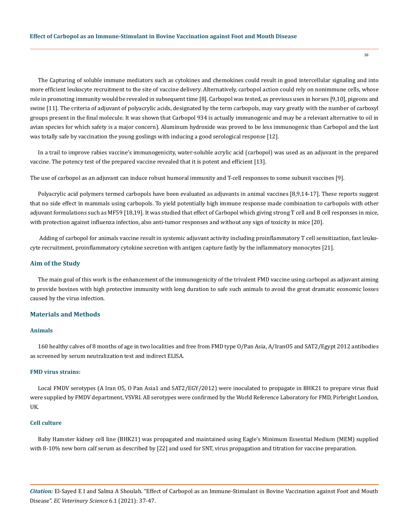The Capturing of soluble immune mediators such as cytokines and chemokines could result in good intercellular signaling and into more efficient leukocyte recruitment to the site of vaccine delivery. Alternatively, carbopol action could rely on nonimmune cells, whose role in promoting immunity would be revealed in subsequent time [8]. Carbopol was tested, as previous uses in horses [9,10], pigeons and swine [11]. The criteria of adjuvant of polyacrylic acids, designated by the term carbopols, may vary greatly with the number of carboxyl groups present in the final molecule. It was shown that Carbopol 934 is actually immunogenic and may be a relevant alternative to oil in avian species for which safety is a major concern). Aluminum hydroxide was proved to be less immunogenic than Carbopol and the last was totally safe by vaccination the young goslings with inducing a good serological response [12].

In a trail to improve rabies vaccine's immunogenicity, water-soluble acrylic acid (carbopol) was used as an adjuvant in the prepared vaccine. The potency test of the prepared vaccine revealed that it is potent and efficient [13].

The use of carbopol as an adjuvant can induce robust humoral immunity and T-cell responses to some subunit vaccines [9].

Polyacrylic acid polymers termed carbopols have been evaluated as adjuvants in animal vaccines [8,9,14-17]. These reports suggest that no side effect in mammals using carbopols. To yield potentially high immune response made combination to carbopols with other adjuvant formulations such as MF59 [18,19]. It was studied that effect of Carbopol which giving strong T cell and B cell responses in mice, with protection against influenza infection, also anti-tumor responses and without any sign of toxicity in mice [20].

 Adding of carbopol for animals vaccine result in systemic adjuvant activity including proinflammatory T cell sensitization, fast leukocyte recruitment, proinflammatory cytokine secretion with antigen capture fastly by the inflammatory monocytes [21].

#### **Aim of the Study**

The main goal of this work is the enhancement of the immunogenicity of the trivalent FMD vaccine using carbopol as adjuvant aiming to provide bovines with high protective immunity with long duration to safe such animals to avoid the great dramatic economic losses caused by the virus infection.

# **Materials and Methods**

#### **Animals**

160 healthy calves of 8 months of age in two localities and free from FMD type O/Pan Asia, A/IranO5 and SAT2/Egypt 2012 antibodies as screened by serum neutralization test and indirect ELISA.

### **FMD virus strains:**

Local FMDV serotypes (A Iran O5, O Pan Asia1 and SAT2/EGY/2012) were inoculated to propagate in BHK21 to prepare virus fluid were supplied by FMDV department, VSVRI. All serotypes were confirmed by the World Reference Laboratory for FMD, Pirbright London, UK.

#### **Cell culture**

Baby Hamster kidney cell line (BHK21) was propagated and maintained using Eagle's Minimum Essential Medium (MEM) supplied with 8-10% new born calf serum as described by [22] and used for SNT, virus propagation and titration for vaccine preparation.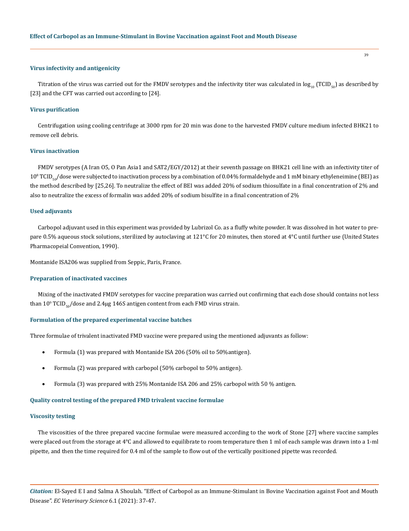#### **Virus infectivity and antigenicity**

Titration of the virus was carried out for the FMDV serotypes and the infectivity titer was calculated in  $log_{10}$  (TCID<sub>50</sub>) as described by [23] and the CFT was carried out according to [24].

#### **Virus purification**

Centrifugation using cooling centrifuge at 3000 rpm for 20 min was done to the harvested FMDV culture medium infected BHK21 to remove cell debris.

#### **Virus inactivation**

FMDV serotypes (A Iran O5, O Pan Asia1 and SAT2/EGY/2012) at their seventh passage on BHK21 cell line with an infectivity titer of  $10^8\,\mathrm{TCID}_{50}/$ dose were subjected to inactivation process by a combination of  $0.04\%$  formaldehyde and  $1$  mM binary ethyleneimine (BEI) as the method described by [25,26]. To neutralize the effect of BEI was added 20% of sodium thiosulfate in a final concentration of 2% and also to neutralize the excess of formalin was added 20% of sodium bisulfite in a final concentration of 2%

#### **Used adjuvants**

Carbopol adjuvant used in this experiment was provided by Lubrizol Co. as a fluffy white powder. It was dissolved in hot water to prepare 0.5% aqueous stock solutions, sterilized by autoclaving at 121°C for 20 minutes, then stored at 4°C until further use (United States Pharmacopeial Convention, 1990).

Montanide ISA206 was supplied from Seppic, Paris, France.

#### **Preparation of inactivated vaccines**

Mixing of the inactivated FMDV serotypes for vaccine preparation was carried out confirming that each dose should contains not less than  $10^9\,\mathrm{TCID}_{\mathrm{so}}$ /dose and 2.4 $\mu$ g 146S antigen content from each FMD virus strain.

#### **Formulation of the prepared experimental vaccine batches**

Three formulae of trivalent inactivated FMD vaccine were prepared using the mentioned adjuvants as follow:

- Formula (1) was prepared with Montanide ISA 206 (50% oil to 50% antigen).
- Formula (2) was prepared with carbopol (50% carbopol to 50% antigen).
- Formula (3) was prepared with 25% Montanide ISA 206 and 25% carbopol with 50 % antigen.

# **Quality control testing of the prepared FMD trivalent vaccine formulae**

#### **Viscosity testing**

The viscosities of the three prepared vaccine formulae were measured according to the work of Stone [27] where vaccine samples were placed out from the storage at 4°C and allowed to equilibrate to room temperature then 1 ml of each sample was drawn into a 1-ml pipette, and then the time required for 0.4 ml of the sample to flow out of the vertically positioned pipette was recorded.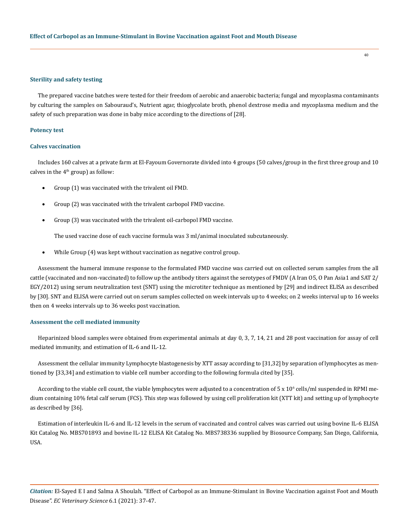#### **Sterility and safety testing**

The prepared vaccine batches were tested for their freedom of aerobic and anaerobic bacteria; fungal and mycoplasma contaminants by culturing the samples on Sabouraud's, Nutrient agar, thioglycolate broth, phenol dextrose media and mycoplasma medium and the safety of such preparation was done in baby mice according to the directions of [28].

40

#### **Potency test**

#### **Calves vaccination**

Includes 160 calves at a private farm at El-Fayoum Governorate divided into 4 groups (50 calves/group in the first three group and 10 calves in the  $4<sup>th</sup>$  group) as follow:

- Group (1) was vaccinated with the trivalent oil FMD.
- Group (2) was vaccinated with the trivalent carbopol FMD vaccine.
- Group (3) was vaccinated with the trivalent oil-carbopol FMD vaccine.

The used vaccine dose of each vaccine formula was 3 ml/animal inoculated subcutaneously.

While Group (4) was kept without vaccination as negative control group.

Assessment the humeral immune response to the formulated FMD vaccine was carried out on collected serum samples from the all cattle (vaccinated and non-vaccinated) to follow up the antibody titers against the serotypes of FMDV (A Iran O5, O Pan Asia1 and SAT 2/ EGY/2012) using serum neutralization test (SNT) using the microtiter technique as mentioned by [29] and indirect ELISA as described by [30]. SNT and ELISA were carried out on serum samples collected on week intervals up to 4 weeks; on 2 weeks interval up to 16 weeks then on 4 weeks intervals up to 36 weeks post vaccination.

#### **Assessment the cell mediated immunity**

Heparinized blood samples were obtained from experimental animals at day 0, 3, 7, 14, 21 and 28 post vaccination for assay of cell mediated immunity, and estimation of IL-6 and IL-12.

Assessment the cellular immunity Lymphocyte blastogenesis by XTT assay according to [31,32] by separation of lymphocytes as mentioned by [33,34] and estimation to viable cell number according to the following formula cited by [35].

According to the viable cell count, the viable lymphocytes were adjusted to a concentration of 5 x  $10^{\circ}$  cells/ml suspended in RPMI medium containing 10% fetal calf serum (FCS). This step was followed by using cell proliferation kit (XTT kit) and setting up of lymphocyte as described by [36].

Estimation of interleukin IL-6 and IL-12 levels in the serum of vaccinated and control calves was carried out using bovine IL-6 ELISA Kit Catalog No. MBS701893 and bovine IL-12 ELISA Kit Catalog No. MBS738336 supplied by Biosource Company, San Diego, California, USA.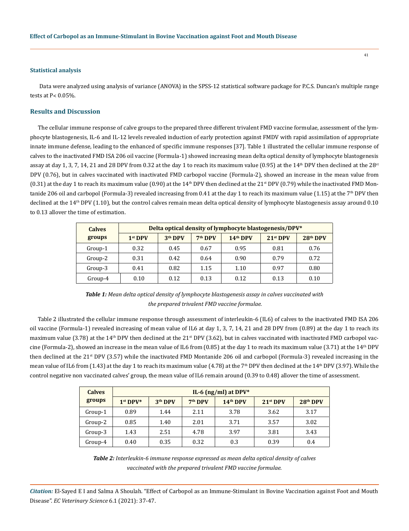#### **Statistical analysis**

 Data were analyzed using analysis of variance (ANOVA) in the SPSS-12 statistical software package for P.C.S. Duncan's multiple range tests at  $P < 0.05\%$ .

# **Results and Discussion**

The cellular immune response of calve groups to the prepared three different trivalent FMD vaccine formulae, assessment of the lymphocyte blastogenesis, IL-6 and IL-12 levels revealed induction of early protection against FMDV with rapid assimilation of appropriate innate immune defense, leading to the enhanced of specific immune responses [37]. Table 1 illustrated the cellular immune response of calves to the inactivated FMD ISA 206 oil vaccine (Formula-1) showed increasing mean delta optical density of lymphocyte blastogenesis assay at day 1, 3, 7, 14, 21 and 28 DPV from 0.32 at the day 1 to reach its maximum value (0.95) at the 14<sup>th</sup> DPV then declined at the 28<sup>st</sup> DPV (0.76), but in calves vaccinated with inactivated FMD carbopol vaccine (Formula-2), showed an increase in the mean value from (0.31) at the day 1 to reach its maximum value (0.90) at the  $14<sup>th</sup>$  DPV then declined at the  $21<sup>st</sup>$  DPV (0.79) while the inactivated FMD Montanide 206 oil and carbopol (Formula-3) revealed increasing from 0.41 at the day 1 to reach its maximum value (1.15) at the 7<sup>th</sup> DPV then declined at the  $14<sup>th</sup>$  DPV (1.10), but the control calves remain mean delta optical density of lymphocyte blastogenesis assay around 0.10 to 0.13 allover the time of estimation.

| <b>Calves</b> |           |                     |                     | Delta optical density of lymphocyte blastogenesis/DPV* |            |            |
|---------------|-----------|---------------------|---------------------|--------------------------------------------------------|------------|------------|
| groups        | $1st$ DPV | 3 <sup>th</sup> DPV | 7 <sup>th</sup> DPV | 14 <sup>th</sup> DPV                                   | $21st$ DPV | $28th$ DPV |
| Group-1       | 0.32      | 0.45                | 0.67                | 0.95                                                   | 0.81       | 0.76       |
| Group-2       | 0.31      | 0.42                | 0.64                | 0.90                                                   | 0.79       | 0.72       |
| Group-3       | 0.41      | 0.82                | 1.15                | 1.10                                                   | 0.97       | 0.80       |
| Group-4       | 0.10      | 0.12                | 0.13                | 0.12                                                   | 0.13       | 0.10       |

*Table 1: Mean delta optical density of lymphocyte blastogenesis assay in calves vaccinated with the prepared trivalent FMD vaccine formulae.*

Table 2 illustrated the cellular immune response through assessment of interleukin-6 (IL6) of calves to the inactivated FMD ISA 206 oil vaccine (Formula-1) revealed increasing of mean value of IL6 at day 1, 3, 7, 14, 21 and 28 DPV from (0.89) at the day 1 to reach its maximum value (3.78) at the 14<sup>th</sup> DPV then declined at the 21<sup>st</sup> DPV (3.62), but in calves vaccinated with inactivated FMD carbopol vaccine (Formula-2), showed an increase in the mean value of IL6 from  $(0.85)$  at the day 1 to reach its maximum value  $(3.71)$  at the  $14<sup>th</sup> DPV$ then declined at the 21<sup>st</sup> DPV (3.57) while the inactivated FMD Montanide 206 oil and carbopol (Formula-3) revealed increasing in the mean value of IL6 from (1.43) at the day 1 to reach its maximum value (4.78) at the 7<sup>th</sup> DPV then declined at the 14<sup>th</sup> DPV (3.97). While the control negative non vaccinated calves' group, the mean value of IL6 remain around (0.39 to 0.48) allover the time of assessment.

| <b>Calves</b> |            |                     |                     | IL-6 $(ng/ml)$ at DPV* |            |            |
|---------------|------------|---------------------|---------------------|------------------------|------------|------------|
| groups        | $1st$ DPV* | 3 <sup>th</sup> DPV | 7 <sup>th</sup> DPV | $14th$ DPV             | $21st$ DPV | $28th$ DPV |
| Group-1       | 0.89       | 1.44                | 2.11                | 3.78                   | 3.62       | 3.17       |
| Group-2       | 0.85       | 1.40                | 2.01                | 3.71                   | 3.57       | 3.02       |
| Group-3       | 1.43       | 2.51                | 4.78                | 3.97                   | 3.81       | 3.43       |
| Group-4       | 0.40       | 0.35                | 0.32                | 0.3                    | 0.39       | 0.4        |

*Table 2: Interleukin-6 immune response expressed as mean delta optical density of calves vaccinated with the prepared trivalent FMD vaccine formulae.*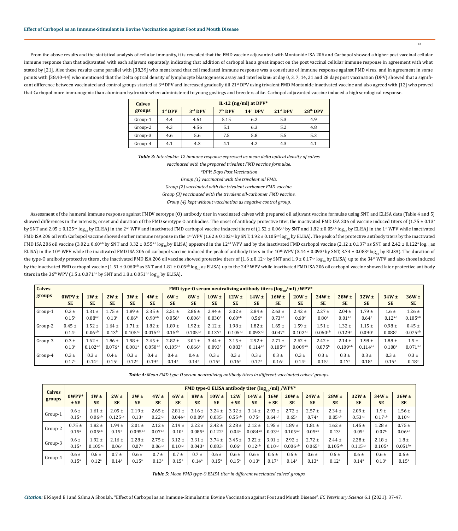From the above results and the statistical analysis of cellular immunity, it is revealed that the FMD vaccine adjuvanted with Montanide ISA 206 and Carbopol showed a higher post vaccinal cellular immune response than that adjuvanted with each adjuvant separately, indicating that addition of carbopol has a great impact on the post vaccinal cellular immune response in agreement with what stated by [21]. Also these results came parallel with [38,39] who mentioned that cell mediated immune response was a constitute of immune response against FMD virus, and in agreement in some points with [38,40-44] who mentioned that the Delta optical density of lymphocyte blastogenesis assay and interleukin6 at day 0, 3, 7, 14, 21 and 28 days post vaccination (DPV) showed that a significant difference between vaccinated and control groups started at 3<sup>rd</sup> DPV and increased gradually till 21<sup>st</sup> DPV using trivalent FMD Montanide inactivated vaccine and also agreed with [12] who proved that Carbopol more immunogenic than aluminum hydroxide when administered to young goslings and breeders alike. Carbopol adjuvanted vaccine induced a high serological response.

42

| <b>Calves</b> |           |         |                     | IL-12 (ng/ml) at DPV* |            |            |
|---------------|-----------|---------|---------------------|-----------------------|------------|------------|
| groups        | $1st$ DPV | 3rd DPV | 7 <sup>th</sup> DPV | 14 <sup>th</sup> DPV  | $21st$ DPV | $28th$ DPV |
| Group-1       | 4.4       | 4.61    | 5.15                | 6.2                   | 5.3        | 4.9        |
| Group-2       | 4.3       | 4.56    | 5.1                 | 6.3                   | 5.2        | 4.8        |
| Group-3       | 4.6       | 5.6     | 7.5                 | 5.8                   | 5.5        | 5.3        |
| Group-4       | 4.1       | 4.3     | 4.1                 | 4.2                   | 4.3        | 4.1        |

*Table 3: Interleukin-12 immune response expressed as mean delta optical density of calves vaccinated with the prepared trivalent FMD vaccine formulae. \*DPV: Days Post Vaccination Group (1) vaccinated with the trivalent oil FMD.* 

*Group (2) vaccinated with the trivalent carbomer FMD vaccine. Group (3) vaccinated with the trivalent oil-carbomer FMD vaccine.* 

*Group (4) kept without vaccination as negative control group.* 

Assessment of the humeral immune response against FMDV serotype (O) antibody titer in vaccinated calves with prepared oil adjuvant vaccine formulae using SNT and ELISA data (Table 4 and 5) showed differences in the intensity, onset and duration of the FMD serotype O antibodies. The onset of antibody protective titer, the inactivated FMD ISA 206 oil vaccine induced titers of  $(1.75 \pm 0.13^{\circ}$ by SNT and 2.05 ± 0.125<sup>a,c</sup> log<sub>10</sub> by ELISA) in the 2<sup>nd</sup> WPV and inactivated FMD carbopol vaccine induced titers of (1.52 ± 0.06<sup>a,b</sup> by SNT and 1.82 ± 0.05<sup>a,b</sup> log<sub>10</sub> by ELISA) in the 1<sup>st</sup> WPV while inactivated FMD ISA 206 oil with Carbopol vaccine showed earlier immune response in the 1<sup>st</sup> WPV (1.62 ± 0.102<sup>a,c</sup> by SNT, 1.92 ± 0.105<sup>a,c</sup> log<sub>10</sub> by ELISA). The peak of the protective antibody titers by the inactivated FMD ISA 206 oil vaccine (3.02 ± 0.60<sup>a,b</sup> by SNT and 3.32 ± 0.55<sup>a,b</sup> log<sub>10</sub> by ELISA) appeared in the 12<sup>nd</sup> WPV and by the inactivated FMD carbopol vaccine (2.12 ± 0.137ª as SNT and 2.42 ± 0.122ª log<sub>10</sub> as ELISA) in the 10<sup>th</sup> WPV while the inactivated FMD ISA 206 oil carbopol vaccine induced the peak of antibody titers in the 10<sup>th</sup> WPV (3.44 ± 0.093° by SNT, 3.74 ± 0.083° log<sub>10</sub> by ELISA). The duration of the type-O antibody protective titers , the inactivated FMD ISA 206 oil vaccine showed protective titers of  $(1.6 \pm 0.12^{\alpha c}$  by SNT and  $1.9 \pm 0.17^{\alpha c} \log_{10}$  by ELISA) up to the 34<sup>th</sup> WPV and also those induced by the inactivated FMD carbopol vaccine (1.51 ± 0.060<sup>a,b</sup> as SNT and 1.81 ± 0.05<sup>a,b</sup> log<sub>10</sub> as ELISA) up to the 24<sup>th</sup> WPV while inactivated FMD ISA 206 oil carbopol vaccine showed later protective antibody titers in the 36<sup>th</sup> WPV (1.5 ± 0.071<sup>b,c</sup> by SNT and 1.8 ± 0.051<sup>b,c</sup> log<sub>10</sub> by ELISA).

| <b>Calves</b> |                |                |                   |                   |                   |               |                      |                      |                   |                        |                      | FMD type-O serum neutralizing antibody titers ( $log_{10}/ml$ ) /WPV* |                   |                   |               |                      |                   |
|---------------|----------------|----------------|-------------------|-------------------|-------------------|---------------|----------------------|----------------------|-------------------|------------------------|----------------------|-----------------------------------------------------------------------|-------------------|-------------------|---------------|----------------------|-------------------|
| groups        | $0WPV \pm$     | $1W \pm$       | $2W \pm$          | 3W <sub>±</sub>   | $4W \pm$          | $6W \pm$      | $8W \pm$             | $10W \pm$            | $12W \pm$         | $14W \pm$              | $16W \pm$            | $20W \pm$                                                             | $24W \pm$         | $28W \pm$         | $32W \pm$     | $34W \pm$            | $36W \pm$         |
|               | <b>SE</b>      | <b>SE</b>      | <b>SE</b>         | <b>SE</b>         | <b>SE</b>         | <b>SE</b>     | <b>SE</b>            | <b>SE</b>            | <b>SE</b>         | <b>SE</b>              | <b>SE</b>            | <b>SE</b>                                                             | <b>SE</b>         | <b>SE</b>         | <b>SE</b>     | <b>SE</b>            | <b>SE</b>         |
| Group-1       | $0.3 \pm$      | $1.31 \pm$     | $1.75 \pm$        | $1.89 \pm$        | $2.35 \pm$        | $2.51 \pm$    | $2.86 \pm$           | $2.94 \pm$           | $3.02 \pm$        | $2.84 \pm$             | $2.63 \pm$           | $2.42 \pm$                                                            | $2.27 \pm$        | $2.04 \pm$        | $.79 \pm$     | $1.6 \pm$            | $1.26 \pm$        |
|               | $0.15^{\circ}$ | $0.08^{a,c}$   | 0.13 <sup>a</sup> | 0.06 <sup>b</sup> | $0.90^{a,b}$      | 0.056a        | 0.006 <sup>b</sup>   | 0.030c               | $0.60^{a,b}$      | 0.56 <sup>a</sup>      | $0.73^{a,b}$         | 0.60 <sup>c</sup>                                                     | 0.80 <sup>a</sup> | $0.01^{a,b}$      | 0.64c         | $0.12^{a,c}$         | $0.105^{a,b}$     |
| Group-2       | $0.45 \pm$     | $1.52 \pm$     | $1.64 \pm$        | $1.71 \pm$        | $1.82 \pm$        | $.89 \pm$     | $1.92 \pm$           | $2.12 \pm$           | $.98 \pm$         | $1.82 \pm$             | $1.65 \pm$           | $1.59 \pm$                                                            | $1.51 \pm$        | $.32 \pm$         | $.15 \pm$     | $0.98 \pm$           | $0.45 \pm$        |
|               | $0.14^a$       | $0.06^{a,b}$   | 0.13 <sup>b</sup> | $0.105^{a,c}$     | $0.015^{a,b}$     | $0.15^{a,b}$  | $0.105^{a,c}$        | $0.137$ <sup>a</sup> | $0.105^{a,c}$     | $0.093$ <sup>a,l</sup> | $0.047$ <sup>c</sup> | $0.102^{a,c}$                                                         | $0.060^{a,b}$     | 0.129a            | 0.090c        | 0.088 <sup>b</sup>   | $0.075^{a,b}$     |
| Group-3       | $0.3 \pm$      | $1.62 \pm$     | $1.86 \pm$        | $1.98 \pm$        | $2.45 \pm$        | $2.82 \pm$    | $3.01 \pm$           | $3.44 \pm$           | $3.15 \pm$        | $2.92 \pm$             | $2.71 \pm$           | $2.62 \pm$                                                            | $2.42 \pm$        | $2.14 \pm$        | $1.98 \pm$    | $1.88 \pm$           | $1.5 \pm$         |
|               | $0.13^{a}$     | $0.102^{a,c}$  | 0.076a            | $0.081^{\circ}$   | 0.050a            | $0.105^{a,c}$ | $0.066$ <sup>a</sup> | 0.093c               | 0.083c            | $0.114^{a,t}$          | $0.105^{a,c}$        | $0.009^{a,b}$                                                         | $0.075^{\rm b}$   | $0.109^{a,b}$     | $0.114^{a,c}$ | $0.108$ <sup>a</sup> | $0.071^{b,c}$     |
| Group-4       | $0.3 \pm$      | $0.3 \pm$      | $0.4 \pm$         | $0.3 \pm$         | $0.4 \pm$         | $0.4 \pm$     | $0.4 \pm$            | $0.3 \pm$            | $0.3 \pm$         | $0.3 \pm$              | $0.3 \pm$            | $0.3 \pm$                                                             | $0.3 \pm$         | $0.3 \pm$         | $0.3 \pm$     | $0.3 \pm$            | $0.3 \pm$         |
|               | 0.17a          | $0.14^{\circ}$ | $0.15^{\circ}$    | $0.12^{\rm a}$    | 0.19 <sup>a</sup> | $0.14^{a}$    | $0.14^{a}$           | $0.15^{a}$           | 0.16 <sup>a</sup> | 0.17 <sup>a</sup>      | 0.16 <sup>a</sup>    | 0.14 <sup>a</sup>                                                     | $0.15^{\circ}$    | 0.17 <sup>a</sup> | $0.18^{a}$    | $0.15^{\rm a}$       | 0.18 <sup>a</sup> |

| Table 4: Mean FMD type-O serum neutralizing antibody titers in different vaccinated calves' groups. |  |  |  |
|-----------------------------------------------------------------------------------------------------|--|--|--|
|-----------------------------------------------------------------------------------------------------|--|--|--|

| <b>Calves</b> |                |               |                   |                   |                |                      |                      |                      |                   | FMD type-O ELISA antibody titer $(\log_{10}/\text{ml})$ /WPV* |              |                |                 |                   |               |                   |               |
|---------------|----------------|---------------|-------------------|-------------------|----------------|----------------------|----------------------|----------------------|-------------------|---------------------------------------------------------------|--------------|----------------|-----------------|-------------------|---------------|-------------------|---------------|
| groups        | $0WPV*$        | $1W \pm$      | $2W \pm$          | $3W \pm$          | $4W \pm$       | $6W \pm$             | $8W \pm$             | $10W \pm$            | <b>12W</b>        | $14W \pm$                                                     | 16W          | $20W \pm$      | $24W \pm$       | $28W \pm$         | $32W \pm$     | $34W \pm$         | $36W \pm$     |
|               | $±$ SE         | <b>SE</b>     | <b>SE</b>         | <b>SE</b>         | <b>SE</b>      | <b>SE</b>            | <b>SE</b>            | <b>SE</b>            | $±$ SE            | <b>SE</b>                                                     | $±$ SE       | <b>SE</b>      | <b>SE</b>       | <b>SE</b>         | <b>SE</b>     | <b>SE</b>         | <b>SE</b>     |
| Group-1       | $0.6 \pm$      | $1.61 \pm$    | $2.05 \pm$        | $2.19 \pm$        | $2.65 \pm$     | $2.81 \pm$           | $3.16 \pm$           | $3.24 \pm$           | $3.32 \pm$        | $3.14 \pm$                                                    | $2.93 \pm$   | $2.72 \pm$     | $2.57 \pm$      | $2.34 \pm$        | $2.09 \pm$    | $1.9 \pm$         | $1.56 \pm$    |
|               | $0.15^{\rm a}$ | $0.06^{a,b}$  | $0.125^{a,c}$     | 0.13 <sup>a</sup> | $0.22^{a,b}$   | $0.044$ <sup>a</sup> | 0.0.09 <sup>b</sup>  | 0.035c               | $0.55^{a,b}$      | $0.75^{\rm a}$                                                | $0.64^{a,b}$ | 0.65c          | 0.74a           | $0.05^{a,b}$      | $0.53^{a,c}$  | $0.17^{a,b}$      | $0.10^{a,b}$  |
| Group-2       | $0.75 \pm$     | $1.82 \pm$    | $1.94 \pm$        | $2.01 \pm$        | $2.12 \pm$     | $2.19 \pm$           | $2.22 \pm$           | $2.42 \pm$           | $2.28 \pm$        | $2.12 \pm$                                                    | $1.95 \pm$   | $1.89 \pm$     | $1.81 \pm$      | $1.62 \pm$        | $1.45 \pm$    | $1.28 \pm$        | $0.75 \pm$    |
|               | $0.15^{\rm a}$ | $0.05^{a,b}$  | $0.15^{b}$        | $0.095^{a,c}$     | $0.07^{a,b}$   | $0.10^{\rm a}$       | $0.085$ <sup>a</sup> | $0.122$ <sup>a</sup> | 0.04 <sup>a</sup> | $0.084^{\text{a,b}}$                                          | $0.03^{a,c}$ | $0.105^{a,c}$  | $0.05^{a,b}$    | 0.13 <sup>a</sup> | 0.05c         | 0.07 <sup>b</sup> | $0.06^{a,b}$  |
| Group-3       | $0.6 \pm$      | $1.92 \pm$    | $2.16 \pm$        | $2.28 \pm$        | $2.75 \pm$     | $3.12 \pm$           | $3.31 \pm$           | $3.74 \pm$           | $3.45 \pm$        | $3.22 \pm$                                                    | $3.01 \pm$   | $2.92 \pm$     | $2.72 \pm$      | $2.44 \pm$        | $2.28 \pm$    | $2.18 \pm$        | $1.8 \pm$     |
|               | $0.15^{\circ}$ | $0.105^{a,c}$ | 0.06 <sup>a</sup> | 0.07 <sup>a</sup> | $0.06^{a,c}$   | $0.10^{a,c}$         | $0.043^{\circ}$      | 0.083c               | 0.06 <sup>c</sup> | $0.12^{a,b}$                                                  | $0.10^{a,c}$ | $0.006^{a,b}$  | $0.065^{\rm b}$ | $0.105^{a,b}$     | $0.115^{a,c}$ | $0.105^{a}$       | $0.051^{b,c}$ |
| Group-4       | $0.6 \pm$      | $0.6 \pm$     | $0.7 \pm$         | $0.6 \pm$         | $0.7 \pm$      | $0.7 \pm$            | $0.7 \pm$            | $0.6 \pm$            | $0.6 \pm$         | $0.6 \pm$                                                     | $0.6 \pm$    | $0.6 \pm$      | $0.6 \pm$       | $0.6 \pm$         | $0.6 \pm$     | $0.6 \pm$         | $0.6 \pm$     |
|               | $0.15^{a}$     | $0.12^{a}$    | $0.14^{a}$        | $0.15^{a}$        | $0.13^{\rm a}$ | $0.15^{a}$           | $0.14^{a}$           | $0.15^{a}$           | $0.15^{a}$        | 0.13 <sup>a</sup>                                             | 0.17a        | $0.14^{\circ}$ | $0.13^{a}$      | $0.12^{a}$        | $0.14^{a}$    | $0.13^{a}$        | $0.15^{a}$    |

*Table 5: Mean FMD type-O ELISA titer in different vaccinated calves' groups.*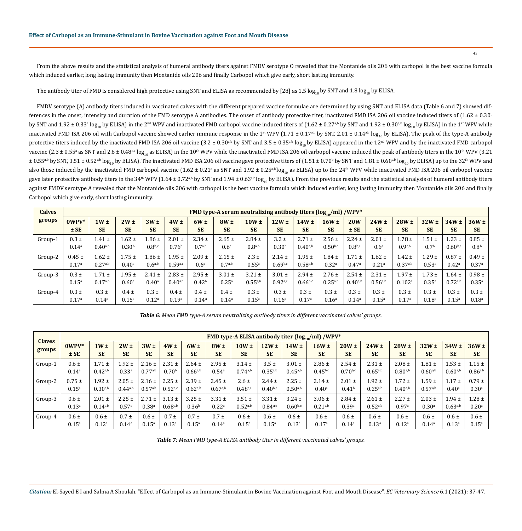From the above results and the statistical analysis of humeral antibody titers against FMDV serotype O revealed that the Montanide oils 206 with carbopol is the best vaccine formula which induced earlier, long lasting immunity then Montanide oils 206 and finally Carbopol which give early, short lasting immunity.

The antibody titer of FMD is considered high protective using SNT and ELISA as recommended by [28] as 1.5 log<sub>10</sub> by SNT and 1.8 log<sub>10</sub> by ELISA.

FMDV serotype (A) antibody titers induced in vaccinated calves with the different prepared vaccine formulae are determined by using SNT and ELISA data (Table 6 and 7) showed differences in the onset, intensity and duration of the FMD serotype A antibodies. The onset of antibody protective titer, inactivated FMD ISA 206 oil vaccine induced titers of  $(1.62 \pm 0.30^{\circ})$ by SNT and 1.92 ± 0.33ª log<sub>10</sub> by ELISA) in the 2<sup>nd</sup> WPV and inactivated FMD carbopol vaccine induced titers of (1.62 ± 0.27ª<sup>b</sup> by SNT and 1.92 ± 0.30ª<sup>b</sup> log<sub>10</sub> by ELISA) in the 1st WPV while inactivated FMD ISA 206 oil with Carbopol vaccine showed earlier immune response in the 1<sup>st</sup> WPV (1.71 ± 0.17<sup>a,b</sup> by SNT, 2.01 ± 0.14<sup>a,b</sup> log<sub>10</sub> by ELISA). The peak of the type-A antibody protective titers induced by the inactivated FMD ISA 206 oil vaccine  $(3.2 \pm 0.30^{a,b}$  by SNT and  $3.5 \pm 0.35^{a,b}$  log<sub>10</sub> by ELISA) appeared in the 12<sup>nd</sup> WPV and by the inactivated FMD carbopol vaccine (2.3 ± 0.55ª as SNT and 2.6 ± 0.48ª¢ log<sub>10</sub> as ELISA) in the 10th WPV while the inactivated FMD ISA 206 oil carbopol vaccine induced the peak of antibody titers in the 10th WPV (3.21  $\pm$  0.55ª,b by SNT, 3.51  $\pm$  0.52ª,b  $\log_{10}$  by ELISA). The inactivated FMD ISA 206 oil vaccine gave protective titers of (1.51  $\pm$  0.70<sup>,</sup> by SNT and 1.81  $\pm$  0.60ª,b  $\log_{10}$  by ELISA) up to the 32ª WPV and also those induced by the inactivated FMD carbopol vaccine (1.62 ± 0.21ª as SNT and 1.92 ± 0.25ª<sup>,b</sup> log<sub>10</sub> as ELISA) up to the 24<sup>th</sup> WPV while inactivated FMD ISA 206 oil carbopol vaccine gave later protective antibody titers in the 34<sup>th</sup> WPV (1.64 ± 0.72<sup>a,b</sup> by SNT and 1.94 ± 0.63<sup>a,b</sup> log<sub>10</sub> by ELISA). From the previous results and the statistical analysis of humeral antibody titers against FMDV serotype A revealed that the Montanide oils 206 with carbopol is the best vaccine formula which induced earlier, long lasting immunity then Montanide oils 206 and finally Carbopol which give early, short lasting immunity.

| <b>Calves</b> |                   |                     |                   |                    |                   |                   |                  | FMD type-A serum neutralizing antibody titers $\frac{\log_{10}}{m}$ ml /WPV* |                   |                   |                   |                |                   |                    |                   |                |                   |
|---------------|-------------------|---------------------|-------------------|--------------------|-------------------|-------------------|------------------|------------------------------------------------------------------------------|-------------------|-------------------|-------------------|----------------|-------------------|--------------------|-------------------|----------------|-------------------|
| groups        | $0WPV*$           | $1W \pm$            | $2W \pm$          | 3W <sub>±</sub>    | $4W \pm$          | $6W \pm$          | $8W \pm$         | $10W \pm$                                                                    | $12W \pm$         | $14W \pm$         | $16W \pm$         | <b>20W</b>     | $24W \pm$         | $28W \pm$          | $32W \pm$         | $34W \pm$      | $36W \pm$         |
|               | $±$ SE            | <b>SE</b>           | <b>SE</b>         | <b>SE</b>          | <b>SE</b>         | <b>SE</b>         | <b>SE</b>        | <b>SE</b>                                                                    | <b>SE</b>         | <b>SE</b>         | <b>SE</b>         | $±$ SE         | <b>SE</b>         | <b>SE</b>          | <b>SE</b>         | <b>SE</b>      | <b>SE</b>         |
| Group-1       | $0.3 \pm$         | $1.41 \pm$          | $1.62 \pm$        | $1.86 \pm$         | $2.01 \pm$        | $2.34 \pm$        | $2.65 \pm$       | $2.84 \pm$                                                                   | $3.2 \pm$         | $2.71 \pm$        | $2.56 \pm$        | $2.24 \pm$     | $2.01 \pm$        | $1.78 \pm$         | $1.51 \pm$        | $1.23 \pm$     | $0.85 \pm$        |
|               | $0.14^{a}$        | $0.40^{a,b}$        | 0.30 <sup>b</sup> | 0.8 <sup>b,c</sup> | 0.76 <sup>b</sup> | $0.7^{a,b}$       | 0.6 <sup>a</sup> | $0.8^{a,b}$                                                                  | 0.30 <sup>b</sup> | $0.40^{a,b}$      | $0.50^{b,c}$      | $0.8^{b,c}$    | 0.6 <sup>a</sup>  | $0.9^{a,b}$        | 0.7 <sup>b</sup>  | $0.60^{b,c}$   | 0.8 <sup>b</sup>  |
| Group-2       | $0.45 \pm$        | $1.62 \pm$          | $1.75 \pm$        | $1.86 \pm$         | $1.95 \pm$        | $2.09 \pm$        | $2.15 \pm$       | $2.3 \pm$                                                                    | $2.14 \pm$        | $1.95 \pm$        | $1.84 \pm$        | $1.71 \pm$     | $1.62 \pm$        | $1.42 \pm$         | $.29 \pm$         | $0.87 \pm$     | $0.49 \pm$        |
|               | 0.17 <sup>a</sup> | $0.27^{a,b}$        | $0.40^{\rm a}$    | $0.6^{a,b}$        | 0.59a,c           | 0.6 <sup>a</sup>  | $0.7^{a,b}$      | $0.55^{\circ}$                                                               | $0.69^{b,c}$      | $0.58^{a,b}$      | 0.32 <sup>a</sup> | 0.47a          | 0.21 <sup>a</sup> | $0.37^{a,b}$       | 0.53 <sup>a</sup> | $0.42^{\rm a}$ | 0.37 <sup>a</sup> |
| Group-3       | $0.3 \pm$         | $1.71 \pm$          | $1.95 \pm$        | $2.41 \pm$         | $2.83 \pm$        | $2.95 \pm$        | $3.01 \pm$       | $3.21 \pm$                                                                   | $3.01 \pm$        | $2.94 \pm$        | $2.76 \pm$        | $2.54 \pm$     | $2.31 \pm$        | $1.97 \pm$         | $1.73 \pm$        | $1.64 \pm$     | $0.98 \pm$        |
|               | $0.15^{\rm a}$    | $0.17^{a,b}$        | 0.60 <sup>a</sup> | $0.40^{\rm a}$     | $0.40^{a,b}$      | 0.42 <sup>b</sup> | $0.25^{\circ}$   | $0.55^{a,b}$                                                                 | $0.92^{a,c}$      | $0.66^{b,c}$      | $0.25^{a,b}$      | $0.40^{a,b}$   | $0.56^{a,b}$      | 0.102 <sup>a</sup> | $0.35^{a}$        | 0.72a,b        | $0.35^{a}$        |
| Group-4       | $0.3 \pm$         | $0.3 \pm$           | $0.4 \pm$         | $0.3 \pm$          | $0.4 \pm$         | $0.4 \pm$         | $0.4 \pm$        | $0.3 \pm$                                                                    | $0.3 \pm$         | $0.3 \pm$         | $0.3 \pm$         | $0.3 \pm$      | $0.3 \pm$         | $0.3 \pm$          | $0.3 \pm$         | $0.3 \pm$      | $0.3 \pm$         |
|               | 0.17 <sup>a</sup> | $0.14$ <sup>a</sup> | $0.15^{\rm a}$    | 0.12 <sup>a</sup>  | 0.19a             | $0.14^{a}$        | $0.14^{a}$       | $0.15^{a}$                                                                   | 0.16 <sup>a</sup> | 0.17 <sup>a</sup> | 0.16 <sup>a</sup> | $0.14^{\circ}$ | $0.15^{\circ}$    | 0.17a              | 0.18 <sup>a</sup> | $0.15^{\rm a}$ | $0.18^{\circ}$    |

*Table 6: Mean FMD type-A serum neutralizing antibody titers in different vaccinated calves' groups.*

| <b>Claves</b> |                   | FMD type-A ELISA antibody titer $(\log_{10}/\text{ml})$ /WPV* |              |                   |                   |                   |                   |              |              |                   |                |                   |              |                   |                   |                |                   |
|---------------|-------------------|---------------------------------------------------------------|--------------|-------------------|-------------------|-------------------|-------------------|--------------|--------------|-------------------|----------------|-------------------|--------------|-------------------|-------------------|----------------|-------------------|
| groups        | $0WPV*$           | $1W \pm$                                                      | $2W \pm$     | 3W <sub>±</sub>   | $4W \pm$          | $6W \pm$          | $8W \pm$          | $10W \pm$    | $12W \pm$    | $14W \pm$         | $16W \pm$      | $20W \pm$         | $24W \pm$    | $28W \pm$         | $32W \pm$         | $34W \pm$      | $36W \pm$         |
|               | $±$ SE            | <b>SE</b>                                                     | <b>SE</b>    | <b>SE</b>         | <b>SE</b>         | <b>SE</b>         | <b>SE</b>         | <b>SE</b>    | <b>SE</b>    | <b>SE</b>         | <b>SE</b>      | <b>SE</b>         | <b>SE</b>    | <b>SE</b>         | <b>SE</b>         | <b>SE</b>      | <b>SE</b>         |
| Group-1       | $0.6 \pm$         | $1.71 \pm$                                                    | $1.92 \pm$   | $2.16 \pm$        | $2.31 \pm$        | $2.64 \pm$        | $2.95 \pm$        | $3.14 \pm$   | $3.5 \pm$    | $3.01 \pm$        | $2.86 \pm$     | $2.54 \pm$        | $2.31 \pm$   | $2.08 \pm$        | $1.81 \pm$        | $1.53 \pm$     | $1.15 \pm$        |
|               | $0.14^{a}$        | $0.42^{a,b}$                                                  | $0.33^{a}$   | $0.77^{a,b}$      | 0.70 <sup>b</sup> | $0.66^{a,b}$      | $0.54^{\circ}$    | $0.74^{a,b}$ | $0.35^{a,b}$ | $0.45^{a,b}$      | $0.45^{b,c}$   | $0.70^{b,c}$      | $0.65^{a,b}$ | $0.80^{a,b}$      | $0.60^{a,b}$      | $0.60^{a,b}$   | $0.86^{a,b}$      |
| Group-2       | $0.75 \pm$        | $1.92 \pm$                                                    | $2.05 \pm$   | $2.16 \pm$        | $2.25 \pm$        | $2.39 \pm$        | $2.45 \pm$        | $2.6 \pm$    | $2.44 \pm$   | $2.25 \pm$        | $2.14 \pm$     | $2.01 \pm$        | $1.92 \pm$   | $1.72 \pm$        | $1.59 \pm$        | $1.17 \pm$     | $0.79 \pm$        |
|               | $0.15^{a}$        | $0.30^{a,b}$                                                  | $0.44^{a,b}$ | $0.57^{a,b}$      | $0.52^{a,c}$      | $0.62^{a,b}$      | $0.67^{a,b}$      | $0.48^{a,c}$ | $0.40^{b,c}$ | $0.50^{a,b}$      | $0.40^{\rm a}$ | 0.41 <sup>b</sup> | $0.25^{a,b}$ | $0.40^{a,b}$      | $0.57^{a,b}$      | $0.40^{\rm a}$ | 0.30 <sup>a</sup> |
| Group-3       | $0.6 \pm$         | $2.01 \pm$                                                    | $2.25 \pm$   | $2.71 \pm$        | $3.13 \pm$        | $3.25 \pm$        | $3.31 \pm$        | $3.51 \pm$   | $3.31 \pm$   | $3.24 \pm$        | $3.06 \pm$     | $2.84 \pm$        | $2.61 \pm$   | $2.27 \pm$        | $2.03 \pm$        | $1.94 \pm$     | $1.28 \pm$        |
|               | 0.13 <sup>a</sup> | $0.14^{a,b}$                                                  | 0.57a        | $0.38^{a}$        | $0.68^{a,b}$      | 0.36 <sup>b</sup> | 0.22 <sup>a</sup> | $0.52^{a,b}$ | $0.84^{a,c}$ | $0.60^{b,c}$      | $0.21^{a,b}$   | 0.39a             | $0.52^{a,b}$ | 0.97a             | 0.30 <sup>a</sup> | $0.63^{a,b}$   | 0.20 <sup>a</sup> |
| Group-4       | $0.6 \pm$         | $0.6 \pm$                                                     | $0.7 \pm$    | $0.6 \pm$         | $0.7 \pm$         | $0.7 \pm$         | $0.7 \pm$         | $0.6 \pm$    | $0.6 \pm$    | $0.6 \pm$         | $0.6 \pm$      | $0.6 \pm$         | $0.6 \pm$    | $0.6 \pm$         | $0.6 \pm$         | $0.6 \pm$      | $0.6 \pm$         |
|               | $0.15^{\circ}$    | 0.12 <sup>a</sup>                                             | $0.14^{a}$   | 0.15 <sup>a</sup> | $0.13^{a}$        | $0.15^{a}$        | $0.14^{a}$        | $0.15^{a}$   | $0.15^{a}$   | 0.13 <sup>a</sup> | 0.17a          | $0.14^{a}$        | $0.13^{a}$   | 0.12 <sup>a</sup> | $0.14^{a}$        | $0.13^{a}$     | $0.15^{\rm a}$    |

*Table 7: Mean FMD type-A ELISA antibody titer in different vaccinated calves' groups.*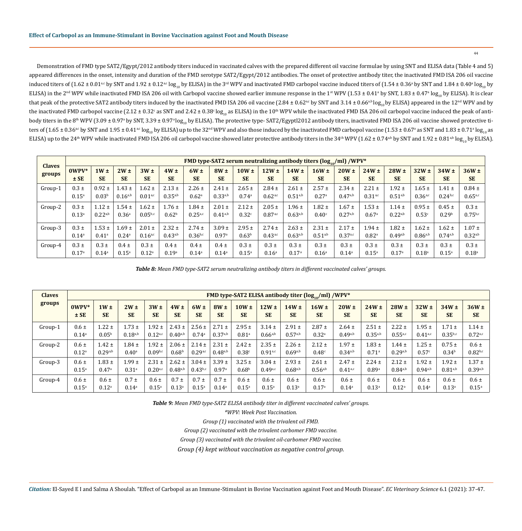Demonstration of FMD type SAT2/Egypt/2012 antibody titers induced in vaccinated calves with the prepared different oil vaccine formulae by using SNT and ELISA data (Table 4 and 5) appeared differences in the onset, intensity and duration of the FMD serotype SAT2/Egypt/2012 antibodies. The onset of protective antibody titer, the inactivated FMD ISA 206 oil vaccine induced titers of (1.62 ± 0.01ª¢ by SNT and 1.92 ± 0.12ª¢ log<sub>10</sub> by ELISA) in the 3™ WPV and inactivated FMD carbopol vaccine induced titers of (1.54 ± 0.36ª by SNT and 1.84 ± 0.40ª log<sub>10</sub> by ELISA) in the 2<sup>nd</sup> WPV while inactivated FMD ISA 206 oil with Carbopol vaccine showed earlier immune response in the 1st WPV (1.53 ± 0.41ª by SNT, 1.83 ± 0.47ª log<sub>10</sub> by ELISA). It is clear that peak of the protective SAT2 antibody titers induced by the inactivated FMD ISA 206 oil vaccine (2.84 ± 0.62<sup>a,c</sup> by SNT and 3.14 ± 0.66<sup>a,b</sup> log<sub>10</sub> by ELISA) appeared in the 12<sup>nd</sup> WPV and by the inactivated FMD carbopol vaccine (2.12 ± 0.32° as SNT and 2.42 ± 0.38°  $\log_{10}$  as ELISA) in the 10th WPV while the inactivated FMD ISA 206 oil carbopol vaccine induced the peak of antibody titers in the 8th WPV (3.09 ± 0.97ª by SNT, 3.39 ± 0.97ª  $\log_{10}$  by ELISA). The protective type- SAT2/Egyptl2012 antibody titers, inactivated FMD ISA 206 oil vaccine showed protective titers of (1.65 ± 0.36% by SNT and 1.95 ± 0.41%  $\log_{10}$  by ELISA) up to the 32 $^{\rm nd}$  WPV and also those induced by the inactivated FMD carbopol vaccine (1.53 ± 0.67ª as SNT and 1.83 ± 0.71ª  $\log_{10}$  as ELISA) up to the 24<sup>th</sup> WPV while inactivated FMD ISA 206 oil carbopol vaccine showed later protective antibody titers in the 34<sup>th</sup> WPV (1.62 ± 0.74<sup>a,b</sup> by SNT and 1.92 ± 0.81<sup>a,b</sup> log<sub>10</sub> by ELISA).

|               |                |                     |                     |                   |                   |                   |              |                   |                   |                   | <b>FMD type-SAT2 serum neutralizing antibody titers (log.</b> $\mu$ ml) /WPV* |              |                   |              |                   |                   |                   |
|---------------|----------------|---------------------|---------------------|-------------------|-------------------|-------------------|--------------|-------------------|-------------------|-------------------|-------------------------------------------------------------------------------|--------------|-------------------|--------------|-------------------|-------------------|-------------------|
| <b>Claves</b> | $0WPV*$        | $1W \pm$            | $2W \pm$            | $3W \pm$          | $4W \pm$          | $6W \pm$          | $8W \pm$     | $10W \pm$         | $12W \pm$         | $14W \pm$         | $16W \pm$                                                                     | $20W \pm$    | $24W \pm$         | $28W \pm$    | $32W \pm$         | $34W \pm$         | $36W \pm$         |
| groups        | $±$ SE         | <b>SE</b>           | <b>SE</b>           | <b>SE</b>         | <b>SE</b>         | <b>SE</b>         | <b>SE</b>    | <b>SE</b>         | <b>SE</b>         | <b>SE</b>         | <b>SE</b>                                                                     | <b>SE</b>    | <b>SE</b>         | <b>SE</b>    | <b>SE</b>         | <b>SE</b>         | <b>SE</b>         |
| Group-1       | $0.3 \pm$      | $0.92 \pm$          | $.43 \pm$           | $.62 \pm$         | $2.13 \pm$        | $2.26 \pm$        | $2.41 \pm$   | $2.65 \pm$        | $2.84 \pm$        | $2.61 \pm$        | $2.57 \pm$                                                                    | $2.34 \pm$   | $2.21 \pm$        | $1.92 \pm$   | $1.65 \pm$        | $1.41 \pm$        | $0.84 \pm$        |
|               | $0.15^{\rm a}$ | 0.03 <sup>b</sup>   | $0.16^{a,b}$        | $0.01^{a,c}$      | $0.35^{a,b}$      | 0.62 <sup>a</sup> | $0.33^{a,b}$ | 0.74a             | $0.62^{a,c}$      | $0.51^{a,b}$      | 0.27 <sup>a</sup>                                                             | $0.47^{a,b}$ | $0.31^{a,c}$      | $0.51^{a,b}$ | $0.36^{a,c}$      | $0.24^{b,c}$      | $0.65^{a,c}$      |
| Group-2       | $0.3 \pm$      | $1.12 \pm$          | $1.54 \pm$          | $.62 \pm$         | $.76 \pm$         | $1.84 \pm$        | $2.01 \pm$   | $2.12 \pm$        | $2.05 \pm$        | $1.96 \pm$        | $1.82 \pm$                                                                    | $1.67 \pm$   | $1.53 \pm$        | $1.14 \pm$   | $0.95 \pm$        | $0.45 \pm$        | $0.3 \pm$         |
|               | $0.13^{\circ}$ | $0.22^{a,b}$        | 0.36 <sup>a</sup>   | $0.05^{b,c}$      | 0.62 <sup>b</sup> | $0.25^{a,c}$      | $0.41^{a,b}$ | 0.32c             | $0.87^{a,c}$      | $0.63^{a,b}$      | 0.40 <sup>c</sup>                                                             | $0.27^{a,b}$ | 0.67a             | $0.22^{a,b}$ | 0.53c             | 0.29 <sup>b</sup> | $0.75^{b,c}$      |
| Group-3       | $0.3 \pm$      | $1.53 \pm$          | $1.69 \pm$          | $2.01 \pm$        | $2.32 \pm$        | $2.74 \pm$        | $3.09 \pm$   | $2.95 \pm$        | $2.74 \pm$        | $2.63 \pm$        | $2.31 \pm$                                                                    | $2.17 \pm$   | $1.94 \pm$        | $1.82 \pm$   | $1.62 \pm$        | $1.62 \pm$        | $1.07 \pm$        |
|               | $0.14^{\circ}$ | $0.41$ <sup>a</sup> | $0.24$ <sup>a</sup> | $0.16^{a,c}$      | $0.43^{a,b}$      | $0.36^{b,c}$      | 0.97a        | 0.63 <sup>b</sup> | $0.43^{a,c}$      | $0.63^{a,b}$      | $0.51^{a,b}$                                                                  | $0.37^{a,c}$ | 0.82 <sup>a</sup> | $0.49^{a,b}$ | $0.86^{a,b}$      | $0.74^{a,b}$      | $0.32^{a,b}$      |
| Group-4       | $0.3 \pm$      | $0.3 \pm$           | $0.4 \pm$           | $0.3 \pm$         | $0.4 \pm$         | $0.4 \pm$         | $0.4 \pm$    | $0.3 \pm$         | $0.3 \pm$         | $0.3 \pm$         | $0.3 \pm$                                                                     | $0.3 \pm$    | $0.3 \pm$         | $0.3 \pm$    | $0.3 \pm$         | $0.3 \pm$         | $0.3 \pm$         |
|               | 0.17a          | $0.14^{\rm a}$      | $0.15^{a}$          | 0.12 <sup>a</sup> | 0.19a             | $0.14^{a}$        | $0.14^{a}$   | $0.15^{\circ}$    | 0.16 <sup>a</sup> | 0.17 <sup>a</sup> | $0.16^{\circ}$                                                                | $0.14^{a}$   | $0.15^{\rm a}$    | 0.17a        | 0.18 <sup>a</sup> | $0.15^{a}$        | 0.18 <sup>a</sup> |

*Table 8: Mean FMD type-SAT2 serum neutralizing antibody titers in different vaccinated calves' groups.*

| <b>Claves</b> |                   |                   |                   |                     |                   |                |              |                   |              |                   | FMD type-SAT2 ELISA antibody titer (log <sub>10</sub> /ml) /WPV* |              |                   |                   |                   |                   |              |
|---------------|-------------------|-------------------|-------------------|---------------------|-------------------|----------------|--------------|-------------------|--------------|-------------------|------------------------------------------------------------------|--------------|-------------------|-------------------|-------------------|-------------------|--------------|
| groups        | $0WPV*$           | $1W \pm$          | $2W \pm$          | $3W \pm$            | $4W \pm$          | $6W \pm$       | $8W \pm$     | $10W \pm$         | $12W \pm$    | $14W \pm$         | $16W \pm$                                                        | $20W \pm$    | $24W \pm$         | $28W \pm$         | $32W \pm$         | $34W \pm$         | $36W \pm$    |
|               | $±$ SE            | <b>SE</b>         | <b>SE</b>         | <b>SE</b>           | <b>SE</b>         | <b>SE</b>      | <b>SE</b>    | <b>SE</b>         | <b>SE</b>    | <b>SE</b>         | <b>SE</b>                                                        | <b>SE</b>    | <b>SE</b>         | <b>SE</b>         | <b>SE</b>         | <b>SE</b>         | <b>SE</b>    |
| Group-1       | $0.6 \pm$         | $1.22 \pm$        | $1.73 \pm$        | $1.92 \pm$          | $2.43 \pm$        | $2.56 \pm$     | $2.71 \pm$   | $2.95 \pm$        | $3.14 \pm$   | $2.91 \pm$        | $2.87 \pm$                                                       | $2.64 \pm$   | $2.51 \pm$        | $2.22 \pm$        | $1.95 \pm$        | $1.71 \pm$        | $1.14 \pm$   |
|               | $0.14^{a}$        | 0.05 <sup>b</sup> | $0.18^{a,b}$      | $0.12^{a,c}$        | $0.40^{a,b}$      | 0.74a          | $0.37^{a,b}$ | 0.81 <sup>a</sup> | $0.66^{a,b}$ | $0.57^{a,b}$      | 0.32 <sup>a</sup>                                                | $0.49^{a,b}$ | $0.35^{a,b}$      | $0.55^{a,c}$      | $0.41^{a,c}$      | $0.35^{b,c}$      | $0.72^{a,c}$ |
| Group-2       | $0.6 \pm$         | $1.42 \pm$        | $1.84 \pm$        | $1.92 \pm$          | $2.06 \pm$        | $2.14 \pm$     | $2.31 \pm$   | $2.42 \pm$        | $2.35 \pm$   | $2.26 \pm$        | $2.12 \pm$                                                       | $1.97 \pm$   | $1.83 \pm$        | $1.44 \pm$        | $1.25 \pm$        | $0.75 \pm$        | $0.6 \pm$    |
|               | 0.12 <sup>a</sup> | 0.29a,b           | $0.40^{\rm a}$    | 0.09 <sup>b,c</sup> | 0.68 <sup>b</sup> | 0.29a,c        | $0.48^{a,b}$ | 0.38c             | $0.91^{a,c}$ | $0.69^{a,b}$      | 0.48c                                                            | $0.34^{a,b}$ | 0.71 <sup>a</sup> | $0.29^{a,b}$      | 0.57c             | 0.34 <sup>b</sup> | $0.82^{b,c}$ |
| Group-3       | $0.6 \pm$         | $1.83 \pm$        | $1.99 \pm$        | $2.31 \pm$          | $2.62 \pm$        | $3.04 \pm$     | $3.39 \pm$   | $3.25 \pm$        | $3.04 \pm$   | $2.93 \pm$        | $2.61 \pm$                                                       | $2.47 \pm$   | $2.24 \pm$        | $2.12 \pm$        | $1.92 \pm$        | $1.92 \pm$        | $1.37 \pm$   |
|               | $0.15^{\circ}$    | 0.47a             | 0.31 <sup>a</sup> | $0.20^{a,c}$        | $0.48^{a,b}$      | $0.43^{b,c}$   | 0.97a        | 0.68 <sup>b</sup> | $0.49^{a,c}$ | $0.68^{a,b}$      | $0.56^{a,b}$                                                     | $0.41^{a,c}$ | 0.89a             | $0.84^{a,b}$      | $0.94^{a,b}$      | $0.81^{a,b}$      | $0.39^{a,b}$ |
| Group-4       | $0.6 \pm$         | $0.6 \pm$         | $0.7 \pm$         | $0.6 \pm$           | $0.7 \pm$         | $0.7 \pm$      | $0.7 \pm$    | $0.6 \pm$         | $0.6 \pm$    | $0.6 \pm$         | $0.6 \pm$                                                        | $0.6 \pm$    | $0.6 \pm$         | $0.6 \pm$         | $0.6 \pm$         | $0.6 \pm$         | $0.6 \pm$    |
|               | $0.15^{\circ}$    | 0.12 <sup>a</sup> | $0.14^{a}$        | $0.15^{a}$          | $0.13^{\circ}$    | $0.15^{\rm a}$ | $0.14^{a}$   | 0.15 <sup>a</sup> | $0.15^{a}$   | 0.13 <sup>a</sup> | 0.17 <sup>a</sup>                                                | $0.14^a$     | $0.13^{a}$        | 0.12 <sup>a</sup> | 0.14 <sup>a</sup> | $0.13^{a}$        | $0.15^{a}$   |

*Table 9: Mean FMD type-SAT2 ELISA antibody titer in different vaccinated calves' groups.*

*\*WPV: Week Post Vaccination.*

*Group (1) vaccinated with the trivalent oil FMD.* 

*Group (2) vaccinated with the trivalent carbomer FMD vaccine.* 

*Group (3) vaccinated with the trivalent oil-carbomer FMD vaccine.* 

*Group (4) kept without vaccination as negative control group.*

*Citation:* El-Sayed E I and Salma A Shoulah. "Effect of Carbopol as an Immune-Stimulant in Bovine Vaccination against Foot and Mouth Disease". *EC Veterinary Science* 6.1 (2021): 37-47.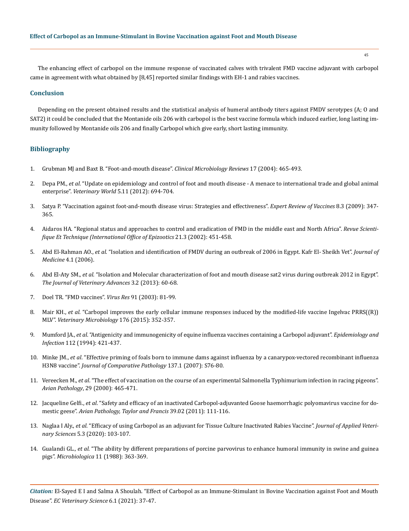The enhancing effect of carbopol on the immune response of vaccinated calves with trivalent FMD vaccine adjuvant with carbopol came in agreement with what obtained by [8,45] reported similar findings with EH-1 and rabies vaccines.

# **Conclusion**

Depending on the present obtained results and the statistical analysis of humeral antibody titers against FMDV serotypes (A; O and SAT2) it could be concluded that the Montanide oils 206 with carbopol is the best vaccine formula which induced earlier, long lasting immunity followed by Montanide oils 206 and finally Carbopol which give early, short lasting immunity.

# **Bibliography**

- 1. [Grubman MJ and Baxt B. "Foot-and-mouth disease".](https://en.wikipedia.org/wiki/Foot-and-mouth_disease) *Clinical Microbiology Reviews* 17 (2004): 465-493.
- 2. Depa PM., *et al*[. "Update on epidemiology and control of foot and mouth disease A menace to international trade and global animal](https://www.researchgate.net/publication/268172696_Update_on_epidemiology_and_control_of_Foot_and_Mouth_Disease_-_A_menace_to_international_trade_and_global_animal_enterprise)  enterprise". *Veterinary World* [5.11 \(2012\): 694-704.](https://www.researchgate.net/publication/268172696_Update_on_epidemiology_and_control_of_Foot_and_Mouth_Disease_-_A_menace_to_international_trade_and_global_animal_enterprise)
- 3. [Satya P. "Vaccination against foot-and-mouth disease virus: Strategies and effectiveness".](https://pubmed.ncbi.nlm.nih.gov/19249976/) *Expert Review of Vaccines* 8.3 (2009): 347- [365.](https://pubmed.ncbi.nlm.nih.gov/19249976/)
- 4. [Aidaros HA. "Regional status and approaches to control and eradication of FMD in the middle east and North Africa".](https://pubmed.ncbi.nlm.nih.gov/12523686/) *Revue Scienti[fique Et Technique \(International Office of Epizootics](https://pubmed.ncbi.nlm.nih.gov/12523686/)* 21.3 (2002): 451-458.
- 5. Abd El-Rahman AO., *et al*[. "Isolation and identification of FMDV during an outbreak of 2006 in Egypt. Kafr El- Sheikh Vet".](https://www.researchgate.net/publication/279527449_INVESTIGATION_OF_FOOT_AND_MOUTH_DISEASE_VIRUS_AT_DIFFERENT_GOVERNORATES_IN_EGYPT) *Journal of Medicine* [4.1 \(2006\).](https://www.researchgate.net/publication/279527449_INVESTIGATION_OF_FOOT_AND_MOUTH_DISEASE_VIRUS_AT_DIFFERENT_GOVERNORATES_IN_EGYPT)
- 6. Abd El-Aty SM., *et al*[. "Isolation and Molecular characterization of foot and mouth disease sat2 virus during outbreak 2012 in Egypt".](https://www.researchgate.net/publication/328662040_Isolation_and_Molecular_Characterization_of_Foot_and_Mouth_Disease_SAT2_Virus_during_Outbreak_2012_in_Egypt)  *[The Journal of Veterinary Advances](https://www.researchgate.net/publication/328662040_Isolation_and_Molecular_Characterization_of_Foot_and_Mouth_Disease_SAT2_Virus_during_Outbreak_2012_in_Egypt)* 3.2 (2013): 60-68.
- 7. [Doel TR. "FMD vaccines".](https://pubmed.ncbi.nlm.nih.gov/12527439/) *Virus Res* 91 (2003): 81-99.
- 8. Mair KH., *et al*[. "Carbopol improves the early cellular immune responses induced by the modified-life vaccine Ingelvac PRRS\(\(R\)\)](https://pubmed.ncbi.nlm.nih.gov/25707990/)  MLV". *[Veterinary Microbiology](https://pubmed.ncbi.nlm.nih.gov/25707990/)* 176 (2015): 352-357.
- 9. Mumford JA., *et al*[. "Antigenicity and immunogenicity of equine influenza vaccines containing a Carbopol adjuvant".](https://pubmed.ncbi.nlm.nih.gov/8150017/) *Epidemiology and Infection* [112 \(1994\): 421-437.](https://pubmed.ncbi.nlm.nih.gov/8150017/)
- 10. Minke JM., *et al*[. "Effective priming of foals born to immune dams against influenza by a canarypox-vectored recombinant influenza](https://pubmed.ncbi.nlm.nih.gov/17559865/)  H3N8 vaccine". *[Journal of Comparative Pathology](https://pubmed.ncbi.nlm.nih.gov/17559865/)* 137.1 (2007): S76-80.
- 11. Vereecken M., *et al*[. "The effect of vaccination on the course of an experimental Salmonella Typhimurium infection in racing pigeons".](https://pubmed.ncbi.nlm.nih.gov/19184839/)  *Avian Pathology*[, 29 \(2000\): 465-471.](https://pubmed.ncbi.nlm.nih.gov/19184839/)
- 12. Jacqueline Gelfi., *et al*[. "Safety and efficacy of an inactivated Carbopol-adjuvanted Goose haemorrhagic polyomavirus vaccine for do](https://pubmed.ncbi.nlm.nih.gov/20390545/)mestic geese". *[Avian Pathology, Taylor and Francis](https://pubmed.ncbi.nlm.nih.gov/20390545/)* 39.02 (2011): 111-116.
- 13. Naglaa I Aly., *et al*[. "Efficacy of using Carbopol as an adjuvant for Tissue Culture Inactivated Rabies Vaccine".](https://javs.journals.ekb.eg/article_103395.html) *Journal of Applied Veterinary Sciences* [5.3 \(2020\): 103-107.](https://javs.journals.ekb.eg/article_103395.html)
- 14. Gualandi GL., *et al*[. "The ability by different preparations of porcine parvovirus to enhance humoral immunity in swine and guinea](https://pubmed.ncbi.nlm.nih.gov/3216795/)  pigs". *Microbiologica* [11 \(1988\): 363-369.](https://pubmed.ncbi.nlm.nih.gov/3216795/)

*Citation:* El-Sayed E I and Salma A Shoulah. "Effect of Carbopol as an Immune-Stimulant in Bovine Vaccination against Foot and Mouth Disease". *EC Veterinary Science* 6.1 (2021): 37-47.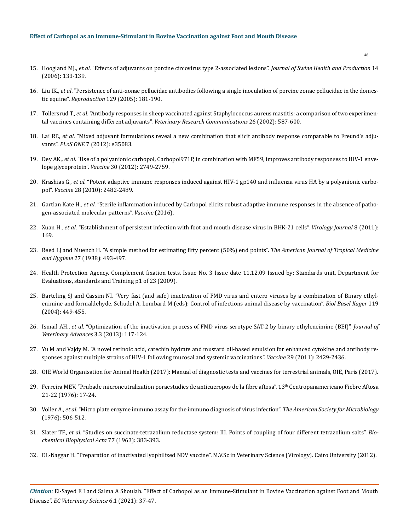# **Effect of Carbopol as an Immune-Stimulant in Bovine Vaccination against Foot and Mouth Disease**

- 15. Hoogland MJ., *et al*[. "Effects of adjuvants on porcine circovirus type 2-associated lesions".](https://www.aasv.org/shap/issues/v14n3/v14n3p133.html) *Journal of Swine Health and Production* 14 [\(2006\): 133-139.](https://www.aasv.org/shap/issues/v14n3/v14n3p133.html)
- 16. Liu IK., *et al*[. "Persistence of anti-zonae pellucidae antibodies following a single inoculation of porcine zonae pellucidae in the domes](https://pubmed.ncbi.nlm.nih.gov/15695612/)tic equine". *Reproduction* [129 \(2005\): 181-190.](https://pubmed.ncbi.nlm.nih.gov/15695612/)
- 17. Tollersrud T., *et al*[. "Antibody responses in sheep vaccinated against Staphylococcus aureus mastitis: a comparison of two experimen](https://pubmed.ncbi.nlm.nih.gov/12507034/)tal vaccines containing different adjuvants". *[Veterinary Research Communications](https://pubmed.ncbi.nlm.nih.gov/12507034/)* 26 (2002): 587-600.
- 18. Lai RP., *et al*[. "Mixed adjuvant formulations reveal a new combination that elicit antibody response comparable to Freund's adju](https://pubmed.ncbi.nlm.nih.gov/22509385/)vants". *PLoS ONE* [7 \(2012\): e35083.](https://pubmed.ncbi.nlm.nih.gov/22509385/)
- 19. Dey AK., *et al*[. "Use of a polyanionic carbopol, Carbopol971P, in combination with MF59, improves antibody responses to HIV-1 enve](https://pubmed.ncbi.nlm.nih.gov/22366638/)lope glycoprotein". *Vaccine* [30 \(2012\): 2749-2759.](https://pubmed.ncbi.nlm.nih.gov/22366638/)
- 20. Krashias G., *et al*[. "Potent adaptive immune responses induced against HIV-1 gp140 and influenza virus HA by a polyanionic carbo](https://pubmed.ncbi.nlm.nih.gov/20132920/)pol". *Vaccine* [28 \(2010\): 2482-2489.](https://pubmed.ncbi.nlm.nih.gov/20132920/)
- 21. Gartlan Kate H., *et al*[. "Sterile inflammation induced by Carbopol elicits robust adaptive immune responses in the absence of patho](https://pubmed.ncbi.nlm.nih.gov/27005810/)[gen-associated molecular patterns".](https://pubmed.ncbi.nlm.nih.gov/27005810/) *Vaccine* (2016).
- 22. Xuan H., *et al*[. "Establishment of persistent infection with foot and mouth disease virus in BHK-21 cells".](https://virologyj.biomedcentral.com/articles/10.1186/1743-422X-8-169) *Virology Journal* 8 (2011): [169.](https://virologyj.biomedcentral.com/articles/10.1186/1743-422X-8-169)
- 23. [Reed LJ and Muench H. "A simple method for estimating fifty percent \(50%\) end points".](https://academic.oup.com/aje/article-abstract/27/3/493/99616) *The American Journal of Tropical Medicine and Hygiene* [27 \(1938\): 493-497.](https://academic.oup.com/aje/article-abstract/27/3/493/99616)
- 24. Health Protection Agency. Complement fixation tests. Issue No. 3 Issue date 11.12.09 Issued by: Standards unit, Department for Evaluations, standards and Training p1 of 23 (2009).
- 25. [Barteling SJ and Cassim NI. "Very fast \(and safe\) inactivation of FMD virus and entero viruses by a combination of Binary ethyl](https://pubmed.ncbi.nlm.nih.gov/15742659/)[enimine and formaldehyde. Schudel A, Lombard M \(eds\): Control of infections animal disease by vaccination".](https://pubmed.ncbi.nlm.nih.gov/15742659/) *Biol Basel Kager* 119 [\(2004\): 449-455.](https://pubmed.ncbi.nlm.nih.gov/15742659/)
- 26. Ismail AH., *et al*[. "Optimization of the inactivation process of FMD virus serotype SAT-2 by binary ethyleneimine \(BEI\)".](https://www.researchgate.net/publication/312295836_Optimization_of_the_Inactivation_Process_of_FMD_Virus_Serotype_SAT-2_by_Binary_Ethyleneimine_BEI) *Journal of [Veterinary Advances](https://www.researchgate.net/publication/312295836_Optimization_of_the_Inactivation_Process_of_FMD_Virus_Serotype_SAT-2_by_Binary_Ethyleneimine_BEI)* 3.3 (2013): 117-124.
- 27. [Yu M and Vajdy M. "A novel retinoic acid, catechin hydrate and mustard oil-based emulsion for enhanced cytokine and antibody re](https://pubmed.ncbi.nlm.nih.gov/21272602/)[sponses against multiple strains of HIV-1 following mucosal and systemic vaccinations".](https://pubmed.ncbi.nlm.nih.gov/21272602/) *Vaccine* 29 (2011): 2429-2436.
- 28. [OIE World Organisation for Animal Health \(2017\): Manual of diagnostic tests and vaccines for terrestrial animals, OIE, Paris \(2017\).](https://www.oie.int/standard-setting/terrestrial-manual/)
- 29. Ferreira MEV. "Prubade microneutralization poraestudies de anticueropos de la fibre aftosa". 13<sup>th</sup> Centropanamericano Fiebre Aftosa 21-22 (1976): 17-24.
- 30. Voller A., *et al*. "Micro plate enzyme immuno assay for the immuno diagnosis of virus infection". *The American Society for Microbiology*  (1976): 506-512.
- 31. Slater TF., *et al*[. "Studies on succinate-tetrazolium reductase system: III. Points of coupling of four different tetrazolium salts".](https://www.sciencedirect.com/science/article/abs/pii/0006300263905134) *Bio[chemical Biophysical Acta](https://www.sciencedirect.com/science/article/abs/pii/0006300263905134)* 77 (1963): 383-393.
- 32. EL-Naggar H. "Preparation of inactivated lyophilized NDV vaccine". M.V.Sc in Veterinary Science (Virology). Cairo University (2012).

*Citation:* El-Sayed E I and Salma A Shoulah. "Effect of Carbopol as an Immune-Stimulant in Bovine Vaccination against Foot and Mouth Disease". *EC Veterinary Science* 6.1 (2021): 37-47.